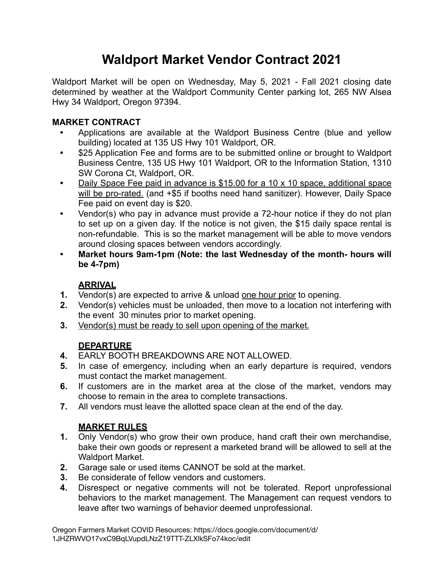## **Waldport Market Vendor Contract 2021**

Waldport Market will be open on Wednesday, May 5, 2021 - Fall 2021 closing date determined by weather at the Waldport Community Center parking lot, 265 NW Alsea Hwy 34 Waldport, Oregon 97394.

#### **MARKET CONTRACT**

- **•** Applications are available at the Waldport Business Centre (blue and yellow building) located at 135 US Hwy 101 Waldport, OR.
- **•** \$25 Application Fee and forms are to be submitted online or brought to Waldport Business Centre, 135 US Hwy 101 Waldport, OR to the Information Station, 1310 SW Corona Ct, Waldport, OR.
- **•** Daily Space Fee paid in advance is \$15.00 for a 10 x 10 space, additional space will be pro-rated. (and +\$5 if booths need hand sanitizer). However, Daily Space Fee paid on event day is \$20.
- **•** Vendor(s) who pay in advance must provide a 72-hour notice if they do not plan to set up on a given day. If the notice is not given, the \$15 daily space rental is non-refundable. This is so the market management will be able to move vendors around closing spaces between vendors accordingly.
- **• Market hours 9am-1pm (Note: the last Wednesday of the month- hours will be 4-7pm)**

### **ARRIVAL**

- **1.** Vendor(s) are expected to arrive & unload one hour prior to opening.
- **2.** Vendor(s) vehicles must be unloaded, then move to a location not interfering with the event 30 minutes prior to market opening.
- **3.** Vendor(s) must be ready to sell upon opening of the market.

### **DEPARTURE**

- **4.** EARLY BOOTH BREAKDOWNS ARE NOT ALLOWED.
- **5.** In case of emergency, including when an early departure is required, vendors must contact the market management.
- **6.** If customers are in the market area at the close of the market, vendors may choose to remain in the area to complete transactions.
- **7.** All vendors must leave the allotted space clean at the end of the day.

### **MARKET RULES**

- **1.** Only Vendor(s) who grow their own produce, hand craft their own merchandise, bake their own goods or represent a marketed brand will be allowed to sell at the Waldport Market.
- **2.** Garage sale or used items CANNOT be sold at the market.
- **3.** Be considerate of fellow vendors and customers.
- **4.** Disrespect or negative comments will not be tolerated. Report unprofessional behaviors to the market management. The Management can request vendors to leave after two warnings of behavior deemed unprofessional.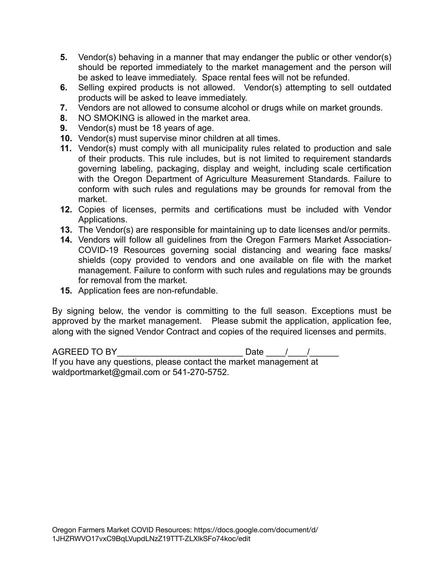- **5.** Vendor(s) behaving in a manner that may endanger the public or other vendor(s) should be reported immediately to the market management and the person will be asked to leave immediately. Space rental fees will not be refunded.
- **6.** Selling expired products is not allowed. Vendor(s) attempting to sell outdated products will be asked to leave immediately.
- **7.** Vendors are not allowed to consume alcohol or drugs while on market grounds.
- **8.** NO SMOKING is allowed in the market area.
- **9.** Vendor(s) must be 18 years of age.
- **10.** Vendor(s) must supervise minor children at all times.
- **11.** Vendor(s) must comply with all municipality rules related to production and sale of their products. This rule includes, but is not limited to requirement standards governing labeling, packaging, display and weight, including scale certification with the Oregon Department of Agriculture Measurement Standards. Failure to conform with such rules and regulations may be grounds for removal from the market.
- **12.** Copies of licenses, permits and certifications must be included with Vendor Applications.
- **13.** The Vendor(s) are responsible for maintaining up to date licenses and/or permits.
- **14.** Vendors will follow all guidelines from the Oregon Farmers Market Association-COVID-19 Resources governing social distancing and wearing face masks/ shields (copy provided to vendors and one available on file with the market management. Failure to conform with such rules and regulations may be grounds for removal from the market.
- **15.** Application fees are non-refundable.

By signing below, the vendor is committing to the full season. Exceptions must be approved by the market management. Please submit the application, application fee, along with the signed Vendor Contract and copies of the required licenses and permits.

AGREED TO BY\_\_\_\_\_\_\_\_\_\_\_\_\_\_\_\_\_\_\_\_\_\_\_\_\_\_ Date \_\_\_\_/\_\_\_\_/\_\_\_\_\_\_ If you have any questions, please contact the market management at waldportmarket@gmail.com or 541-270-5752.